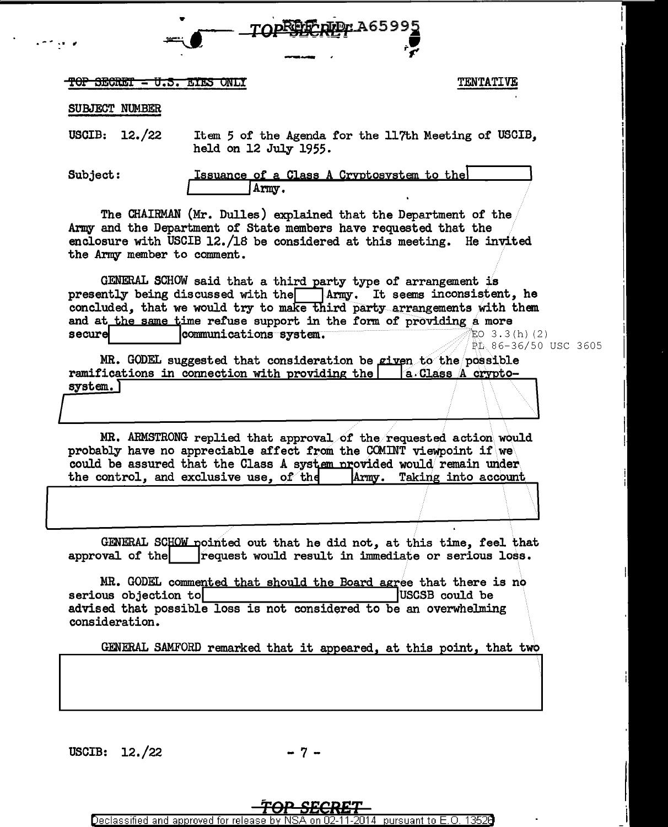

## <del>TOP SECRET = U.S. EIES ONLY</del>

### **TENTATIVE**

#### SUBJECT NUMBER

USCIB:  $12./22$ Item 5 of the Agenda for the 117th Meeting of USCIB, held on 12 July 1955.

Subject:

Issuance of a Class A Cryptosystem to the Army.

The CHAIRMAN (Mr. Dulles) explained that the Department of the Army and the Department of State members have requested that the enclosure with USCIB 12./18 be considered at this meeting. He invited the Army member to comment.

GENERAL SCHOW said that a third party type of arrangement is presently being discussed with the Army. It seems inconsistent, he concluded, that we would try to make third party arrangements with them and at the same time refuse support in the form of providing a more secure communications system. EO  $3.3(h)$  (2) PL 86-36/50 USC 3605

MR. GODEL suggested that consideration be given to the possible ramifications in connection with providing the a.Class A cryptosystem.)

MR. ARMSTRONG replied that approval of the requested action would probably have no appreciable affect from the COMINT viewpoint if we could be assured that the Class A system provided would remain under the control, and exclusive use, of the Army. Taking into account

GENERAL SCHOW pointed out that he did not, at this time, feel that approval of the request would result in immediate or serious loss.

MR. GODEL commented that should the Board agree that there is no serious objection to USCSB could be advised that possible loss is not considered to be an overwhelming consideration.

GENERAL SAMFORD remarked that it appeared, at this point, that two

USCIB:  $12./22$ 

- 7 –